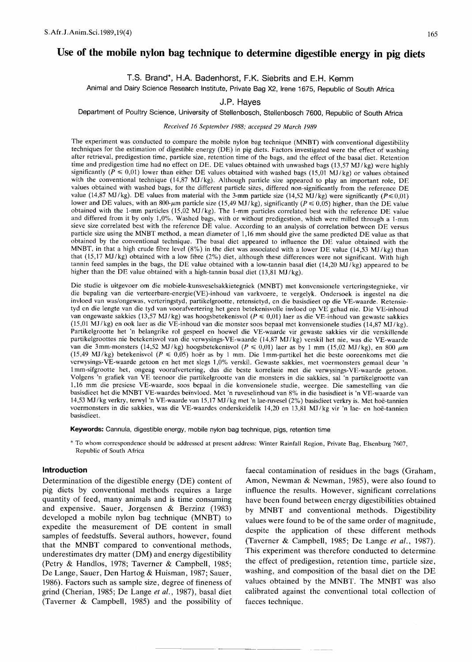# Use of the mobile nylon bag technique to determine digestible energy in pig diets

## 1.8. Brand\*, H.A. Badenhorst, F.K. 8iebrits and E.H. Kemm

Animal and Dairy Science Research Institute, Private Bag X2, Irene 1675, Republic of South Africa

## J.P. Hayes

## Department of Poultry Science, University of Stellenbosch, Stellenbosch 7600, Republic of South Africa

#### Received 16 September 1988; accepted 29 March 1989

The experiment was conducted to compare the mobile nylon bag technique (MNBT) with conventional digestibility techniques for the estimation of digestible energy (DE) in pig diets. Factors investigated were the effect of washing after retrieval, predigestion time, particle size, retention time of the bags, and the effect of the basal diet. Retention time and predigestion time had no effect on DE. DE values obtained with unwashed bags (13,57 MJ/kg) were highly significantly ( $\tilde{P} \le 0.01$ ) lower than either DE values obtained with washed bags (15,01 MJ/kg) or values obtained with the conventional technique (14,87 MJ/kg). Although particle size appeared to play an important role, DE values obtained with washed bags, for the different particle sizes, differed non-significantly from the reference DE value (14,87 MJ/kg). DE values from material with the 3-mm particle size (14,52 MJ/kg) were significantly  $(P \le 0.01)$ lower and DE values, with an 800- $\mu$ m particle size (15,49 MJ/kg), significantly ( $P \le 0.05$ ) higher, than the DE value obtained with the 1-mm particles (15,02 MJ/kg). The 1-mm particles correlated best with the reference DE value and differed from it by only 1,0%. Washed bags, with or without predigestion, which were milled through a 1-mm sieve size correlated best with the reference DE value. According to an analysis of correlation between DE versus particle size using the MNBT method, a mean diameter of 1,16 mm should give the same predicted DE value as that obtained by the conventional technique. The basal diet appeared to influence the DE value obtained with the MNBT, in that a high crude fibre level (8%) in the diet was associated with a lower DE value (14,53 MJ/kg) than that (15,17 MJ/kg) obtained with a low fibre (2%) diet, although these differences were not significant. With high tannin feed samples in the bags, the DE value obtained with a low-tannin basal diet (14,20 MJ/kg) appeared to be higher than the DE value obtained with a high-tannin basal diet  $(13,81 \text{ MJ/kg})$ .

Die studie is uitgevoer om die mobiele-kunsveselsakkietegniek (MNBT) met konvensionele verteringstegnieke, vir die bepaling van die verteerbare-energie(VE)-inhoud van varkvoere, te vergelyk. Ondersoek is ingestel na die invloed van was/ongewas, verteringstyd, partikelgrootte, retensietyd, en die basisdieet op die VE-waarde. Retensietyd en die lengte van die tyd van voorafvertering het geen betekenisvolle invloed op VE gehad nie. Die VE-inhoud van ongewaste sakkies (13,57 MJ/kg) was hoogsbetekenisvol (P ≤ 0,01) laer as die VE-inhoud van gewaste sakkies  $(15,01 \text{ MJ/kg})$  en ook laer as die VE-inhoud van die monster soos bepaal met konvensionele studies  $(14,87 \text{ MJ/kg})$ . Partikelgrootte het 'n belangrike rol gespeel en hoewel die VE-waarde vir gewaste sakkies vir die verskillende partikelgroottes nie betekenisvol van die verwysings- VE-waarde (14,87 MJ / kg) verskil het nie, was die VE-waarde van die 3mm-monsters (14,52 MJ/kg) hoogsbetekenisvol  $(P \le 0.01)$  laer as by 1 mm (15,02 MJ/kg), en 800  $\mu$ m (15,49 MJ/kg) betekenisvol  $(P \le 0.05)$  hoer as by 1 mm. Die 1mm-partikel het die beste ooreenkoms met die verwysings- VE-waarde getoon en het met slegs 1,0% verskil. Gewaste sakkies, met voermonsters gemaal deur 'n 1mm-sifgrootte het, ongeag voorafvertering, dus die beste korrelasie met die verwysings- VE-waarde getoon. Volgens 'n grafiek van VE teenoor die partikelgrootte van die monsters in die sakkies, sal 'n partikelgrootte van 1,16 mm die presiese VE-waarde, soos bepaal in die konvensionele studie, weergee. Die samestelling van die basisdieet het die MNBT VE-waardes beïnvloed. Met 'n ruveselinhoud van 8% in die basisdieet is 'n VE-waarde van 14,53 MJ /kg verkry, terwyl 'n VE-waarde van 15,17 MJ /kg met 'n lae-ruvesel (2%) basisdieet verkry is. Met hoe-tannien voermonsters in die sakkies, was die VE-waardes onderskeidelik 14,20 en 13,81 MJ /kg vir 'n lae- en hoe-tannien basisdieet.

Keywords: Cannula, digestible energy, mobile nylon bag technique, pigs, retention time

\* To whom correspondence should be addressed at present address: Winter Rainfall Region, Private Bag, Elsenburg 7607, Republic of South Africa

#### **Introduction**

Determination of the digestible energy (DE) content of pig diets by conventional methods requires a large quantity of feed, many animals and is time consuming and expensive. Sauer, Jorgensen & Berzinz (1983) developed a mobile nylon bag technique (MNBT) to expedite the measurement of DE content in small samples of feedstuffs. Several authors, however, found that the MNBT compared to conventional methods, underestimates dry matter (DM) and energy digestibility (Petry & Handlos, 1978; Taverner & Campbell, 1985; De Lange, Sauer, Den Hartog & Huisman, 1987; Sauer, 1986). Factors such as sample size, degree of fineness of grind (Cherian, 1985; De Lange *et ai.,* 1987), basal diet (Taverner & Campbell, 1985) and the possibility of

faecal contamination of residues in the bags (Graham, Amon, Newman & Newman, 1985), were also found to influence the results. However, significant correlations have been found between energy digestibilities obtained by MNBT and conventional methods. Digestibility values were found to be of the same order of magnitude, despite the application of these different methods (Taverner & Campbell, 1985; De Lange *et ai., 1987).* This experiment was therefore conducted to determine the effect of predigestion, retention time, particle size, washing, and composition of the basal diet on the DE values obtained by the MNBT. The MNBT was also calibrated against the conventional total collection of faeces technique.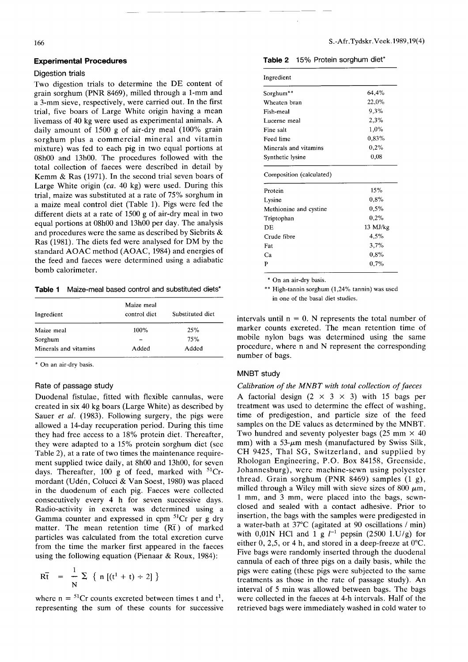#### **Experimental Procedures**

#### Digestion trials

Two digestion trials to determine the DE content of grain sorghum (PNR 8469), milled through a 1-mm and a 3-mm sieve, respectively, were carried out. In the first trial, five boars of Large White origin having a mean livemass of 40 kg were used as experimental animals. A daily amount of 1500 g of air-dry meal (100% grain sorghum plus a commercial mineral and vitamin mixture) was fed to each pig in two equal portions at 08hOO and 13hOO. The procedures followed with the total collection of faeces were described in detail by Kemm & Ras (1971). In the second trial seven boars of Large White origin *(ca.* 40 kg) were used. During this trial, maize was substituted at a rate of 75% sorghum in a maize meal control diet (Table 1). Pigs were fed the different diets at a rate of 1500 g of air-dry meal in two equal portions at 08h00 and 13h00 per day. The analysis and procedures were the same as described by Siebrits & Ras (1981). The diets fed were analysed for DM by the standard AOAC method (AOAC, 1984) and energies of the feed and faeces were determined using a adiabatic bomb calorimeter.

Table 1 Maize-meal based control and substituted diets\*

| Ingredient            | Maize meal<br>control diet | Substituted diet |
|-----------------------|----------------------------|------------------|
| Maize meal            | 100%                       | 25%              |
| Sorghum               |                            | 75%              |
| Minerals and vitamins | Added                      | Added            |

\* On an air-dry basis.

#### Rate of passage study

Duodenal fistulae, fitted with flexible cannulas, were created in six 40 kg boars (Large White) as described by Sauer *et al.* (1983). Following surgery, the pigs were allowed a 14-day recuperation period. During this time they had free access to a 18% protein diet. Thereafter, they were adapted to a 15% protein sorghum diet (see Table 2), at a rate of two times the maintenance requirement supplied twice daily, at 8h00 and 13h00, for seven days. Thereafter, 100 g of feed, marked with  ${}^{51}Cr$ mordant (Uden, Colucci & Van Soest, 1980) was placed in the duodenum of each pig. Faeces were collected consecutively every 4 h for seven successive days. Radio-activity in excreta was determined using a Gamma counter and expressed in cpm  ${}^{51}Cr$  per g dry matter. The mean retention time  $(R\bar{t})$  of marked particles was calculated from the total excretion curve from the time the marker first appeared in the faeces using the following equation (Pienaar & Roux, 1984):

$$
\overline{\text{Rt}} = \frac{1}{N} \sum \{ n \left[ (t^1 + t) \div 2 \right] \}
$$

where  $n = {}^{51}Cr$  counts excreted between times t and  $t<sup>1</sup>$ , representing the sum of these counts for successive

| <b>Table 2</b> 15% Protein sorghum diet*<br>Ingredient |          |  |  |  |
|--------------------------------------------------------|----------|--|--|--|
|                                                        |          |  |  |  |
| Wheaten bran                                           | 22,0%    |  |  |  |
| Fish-meal                                              | 9.3%     |  |  |  |
| Lucerne meal                                           | 2.3%     |  |  |  |
| Fine salt                                              | 1.0%     |  |  |  |
| Feed lime                                              | $0.83\%$ |  |  |  |
| Minerals and vitamins                                  | 0.2%     |  |  |  |
| Synthetic lysine                                       | 0,08     |  |  |  |
| Composition (calculated)                               |          |  |  |  |
| Protein                                                | 15%      |  |  |  |
| Lysine                                                 | $0.8\%$  |  |  |  |
| Methionine and cystine                                 | 0,5%     |  |  |  |
| Triptophan                                             | 0.2%     |  |  |  |
| DE                                                     | 13 MJ/kg |  |  |  |
|                                                        |          |  |  |  |
|                                                        | 4.5%     |  |  |  |
| Crude fibre                                            | 3.7%     |  |  |  |
| Fat<br>Ca                                              | $0.8\%$  |  |  |  |

\* On an air-dry basis.

•• High-tannin sorghum (1,24% tannin) was used in one of the basal diet studies.

intervals until  $n = 0$ . N represents the total number of marker counts excreted. The mean retention time of mobile nylon bags was determined using the same procedure, where nand N represent the corresponding number of bags.

#### MNBT study

*Calibration of the MNBT with total collection of faeces* A factorial design  $(2 \times 3 \times 3)$  with 15 bags per treatment was used to determine the effect of washing, time of predigestion, and particle size of the feed samples on the DE values as determined by the MNBT. Two hundred and seventy polyester bags (25 mm  $\times$  40 mm) with a 53- $\mu$ m mesh (manufactured by Swiss Silk, CH 9425, Thai SG, Switzerland, and supplied by Rhologan Engineering, P.O. Box 84158, Greenside, Johannesburg), were machine-sewn using polyester thread. Grain sorghum (PNR 8469) samples  $(1 g)$ , milled through a Wiley mill with sieve sizes of 800  $\mu$ m, 1 mm, and 3 mm, were placed into the bags, sewnclosed and sealed with a contact adhesive. Prior to insertion, the bags with the samples were predigested in a water-bath at 37°C (agitated at 90 oscillations / min) with 0,01N HCl and 1 g  $l^{-1}$  pepsin (2500 I.U/g) for either  $0, 2, 5$ , or 4 h, and stored in a deep-freeze at  $0^{\circ}$ C. Five bags were randomly inserted through the duodenal cannula of each of three pigs on a daily basis, while the pigs were eating (these pigs were subjected to the same treatments as those in the rate of passage study). An interval of 5 min was allowed between bags. The bags were collected in the faeces at 4-h intervals. Half of the retrieved bags were immediately washed in cold water to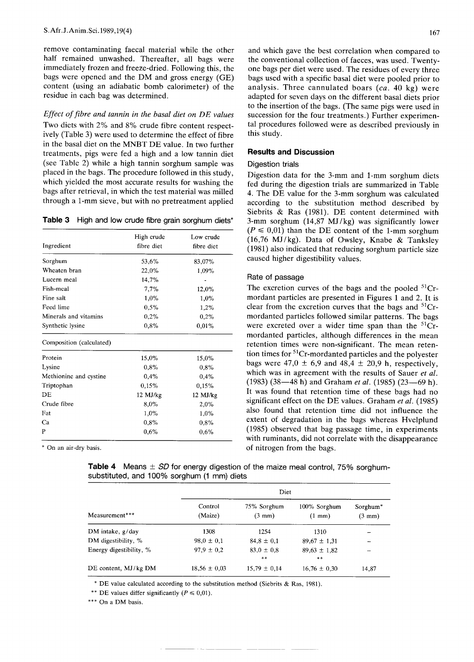remove contaminating faecal material while the other half remained unwashed. Thereafter, all bags were immediately frozen and freeze-dried. Following this, the bags were opened and the DM and gross energy (GE) content (using an adiabatic bomb calorimeter) of the residue in each bag was determined.

*Effect of fibre and tannin in the basal diet on DEvalues* Two diets with 2% and 8% crude fibre content respectively (Table 3) were used to determine the effect of fibre in the basal diet on the MNBT DE value. In two further treatments, pigs were fed a high and a low tannin diet (see Table 2) while a high tannin sorghum sample was placed in the bags. The procedure followed in this study, which yielded the most accurate results for washing the bags after retrieval, in which the test material was milled through a 1-mm sieve, but with no pretreatment applied

| Table 3 High and low crude fibre grain sorghum diets' |  |  |  |
|-------------------------------------------------------|--|--|--|
|                                                       |  |  |  |

| Ingredient               | High crude<br>fibre diet | Low crude<br>fibre diet |
|--------------------------|--------------------------|-------------------------|
| Sorghum                  | 53,6%                    | 83,07%                  |
| Wheaten bran             | 22.0%                    | 1,09%                   |
| Lucern meal              | 14,7%                    |                         |
| Fish-meal                | 7,7%                     | 12,0%                   |
| Fine salt                | 1,0%                     | 1,0%                    |
| Feed lime                | 0.5%                     | 1,2%                    |
| Minerals and vitamins    | 0,2%                     | 0,2%                    |
| Synthetic lysine         | 0,8%                     | 0,01%                   |
| Composition (calculated) |                          |                         |
| Protein                  | 15,0%                    | 15,0%                   |
| Lysine                   | 0.8%                     | 0.8%                    |
| Methionine and cystine   | 0,4%                     | 0.4%                    |
| Triptophan               | 0,15%                    | 0,15%                   |
| DE                       | $12$ MJ/kg               | 12 MJ/kg                |
| Crude fibre              | 8,0%                     | 2,0%                    |
| Fat                      | 1,0%                     | 1,0%                    |
| Ca                       | 0.8%                     | 0,8%                    |
| P                        | 0,6%                     | 0.6%                    |

\* On an air-dry basis.

and which gave the best correlation when compared to the conventional collection of faeces, was used. Twentyone bags per diet were used. The residues of every three bags used with a specific basal diet were pooled prior to analysis. Three cannulated boars *(ca.* 40 kg) were adapted for seven days on the different basal diets prior to the insertion of the bags. (The same pigs were used in succession for the four treatments.) Further experimental procedures followed were as described previously in this study.

#### **Results and Discussion**

## Digestion trials

Digestion data for the 3-mm and 1-mm sorghum diets fed during the digestion trials are summarized in Table 4. The DE value for the 3-mm sorghum was calculated according to the substitution method described by Siebrits & Ras (1981). DE content determined with 3-mm sorghum  $(14,87 \text{ MJ/kg})$  was significantly lower  $(P \le 0.01)$  than the DE content of the 1-mm sorghum (16,76 MJ/kg). Data of Owsley, Knabe & Tanksley (1981) also indicated that reducing sorghum particle size caused higher digestibility values.

## Rate of passage

The excretion curves of the bags and the pooled  $51Cr$ mordant particles are presented in Figures 1 and 2. It is clear from the excretion curves that the bags and  ${}^{51}Cr$ mordanted particles followed similar patterns. The bags were excreted over a wider time span than the  ${}^{51}Cr$ mordanted particles, although differences in the mean retention times were non-significant. The mean retention times for  ${}^{51}Cr$ -mordanted particles and the polyester bags were  $47.0 \pm 6.9$  and  $48.4 \pm 20.9$  h, respectively, which was in agreement with the results of Sauer *et al.* (1983) (38—48 h) and Graham *et al.* (1985) (23—69 h). It was found that retention time of these bags had no significant effect on the DE values. Graham *et al. (1985)* also found that retention time did not influence the extent of degradation in the bags whereas Hvelplund (1985) observed that bag passage time, in experiments with ruminants, did not correlate with the disappearance of nitrogen from the bags.

|  |  | Table 4 Means $\pm$ SD for energy digestion of the maize meal control, 75% sorghum- |  |  |
|--|--|-------------------------------------------------------------------------------------|--|--|
|  |  | substituted, and 100% sorghum (1 mm) diets                                          |  |  |

| Measurement***          | Control<br>(Maize) | 75% Sorghum<br>$(3 \text{ mm})$ | 100% Sorghum<br>$(1 \text{ mm})$ | Sorghum <sup>*</sup><br>$(3 \text{ mm})$ |
|-------------------------|--------------------|---------------------------------|----------------------------------|------------------------------------------|
| DM intake, g/day        | 1308               | 1254                            | 1310                             |                                          |
| DM digestibility, %     | $98.0 \pm 0.1$     | $84.8 \pm 0.1$                  | $89,67 \pm 1,31$                 | ÷                                        |
| Energy digestibility, % | $97.9 \pm 0.2$     | $83.0 \pm 0.8$<br>$* *$         | $89,63 \pm 1,82$<br>$* *$        |                                          |
| DE content, MJ/kg DM    | $18,56 \pm 0.03$   | $15,79 \pm 0.14$                | $16,76 \pm 0,30$                 | 14,87                                    |

\* DE value calculated according to the substitution method (Siebrits & Ras, 1981).

\*\* DE values differ significantly  $(P \le 0.01)$ .

\*\*\* On a DM basis.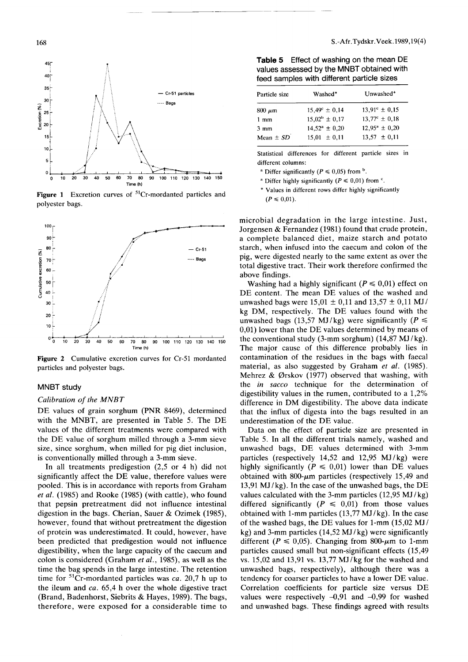

Figure 1 Excretion curves of  ${}^{51}Cr$ -mordanted particles and polyester bags.



Figure 2 Cumulative excretion curves for Cr-51 mordanted particles and polyester bags.

## MNBT study

#### *Calibration of the MNBT*

DE values of grain sorghum (PNR 8469), determined with the MNBT, are presented in Table 5. The DE values of the different treatments were compared with the DE value of sorghum milled through a 3-mm sieve size, since sorghum, when milled for pig diet inclusion, is conventionally milled through a 3-mm sieve.

In all treatments predigestion (2,5 or 4 h) did not significantly affect the DE value, therefore values were pooled. This is in accordance with reports from Graham *et al.* (1985) and Rooke (1985) (with cattle), who found that pepsin pretreatment did not influence intestinal digestion in the bags. Cherian, Sauer & Ozimek (1985), however, found that without pretreatment the digestion of protein was underestimated. It could, however, have been predicted that predigestion would not influence digestibility, when the large capacity of the caecum and colon is considered (Graham *et al.,* 1985), as well as the time the bag spends in the large intestine. The retention time for 51Cr-mordanted particles was *ca.* 20,7 h up to the ileum and *ca.* 65,4 h over the whole digestive tract (Brand, Badenhorst, Siebrits & Hayes, 1989). The bags, therefore, were exposed for a considerable time to

**Table 5** Effect of washing on the mean DE values assessed by the MNBT obtained with feed samples with different particle sizes

| $15,49^{\circ} \pm 0,14$ | $13.91^{\circ} \pm 0.15$ |
|--------------------------|--------------------------|
|                          |                          |
| $15,02^{\rm b} \pm 0,17$ | $13.77^c \pm 0.18$       |
| $14,52^a \pm 0,20$       | $12.95^a \pm 0.20$       |
|                          | $13.57 \pm 0.11$         |
|                          | $15.01 \pm 0.11$         |

Statistical differences for different particle sizes in different columns:

<sup>a</sup> Differ significantly  $(P \le 0.05)$  from <sup>b</sup>.

<sup>a</sup> Differ highly significantly  $(P \le 0.01)$  from <sup>c</sup>.

, Values in different rows differ highly significantly  $(P \le 0.01)$ .

microbial degradation in the large intestine. Just, Jorgensen & Fernandez (1981) found that crude protein, a complete balanced diet, maize starch and potato starch, when infused into the caecum and colon of the pig, were digested nearly to the same extent as over the total digestive tract. Their work therefore confirmed the above findings.

Washing had a highly significant  $(P \le 0.01)$  effect on DE content. The mean DE values of the washed and unwashed bags were  $15,01 \pm 0,11$  and  $13,57 \pm 0,11$  MJ/ kg DM, respectively. The DE values found with the unwashed bags (13,57 MJ/kg) were significantly  $(P \leq$ 0,01) lower than the DE values determined by means of the conventional study (3-mm sorghum)  $(14,87 \text{ MJ/kg})$ . The major cause of this difference probably lies in contamination of the residues in the bags with faecal material, as also suggested by Graham *et al. (1985).* Mehrez & Ørskov (1977) observed that washing, with the *in sacco* technique for the determination of digestibility values in the rumen, contributed to a 1,2% difference in DM digestibility. The above data indicate that the influx of digesta into the bags resulted in an underestimation of the DE value.

Data on the effect of particle size are presented in Table 5. In all the different trials namely, washed and unwashed bags, DE values determined with 3-mm particles (respectively  $14,52$  and  $12,95$  MJ/kg) were highly significantly  $(P \le 0.01)$  lower than DE values obtained with  $800-\mu m$  particles (respectively 15,49 and 13,91 MJ /kg). In the case of the unwashed bags, the DE values calculated with the 3-mm particles (12,95 MJ /kg) differed significantly  $(P \le 0.01)$  from those values obtained with 1-mm particles (13,77 MJ /kg). In the case of the washed bags, the DE values for 1-mm (15,02 MJ/ kg) and 3-mm particles (14,52 MJ /kg) were significantly different ( $P \le 0.05$ ). Changing from 800- $\mu$ m to 1-mm particles caused small but non-significant effects (15,49 vs. 15,02 and 13,91 vs. 13,77 MJ /kg for the washed and unwashed bags, respectively), although there was a tendency for coarser particles to have a lower DE value. Correlation coefficients for particle size versus DE values were respectively  $-0.91$  and  $-0.99$  for washed and unwashed bags. These findings agreed with results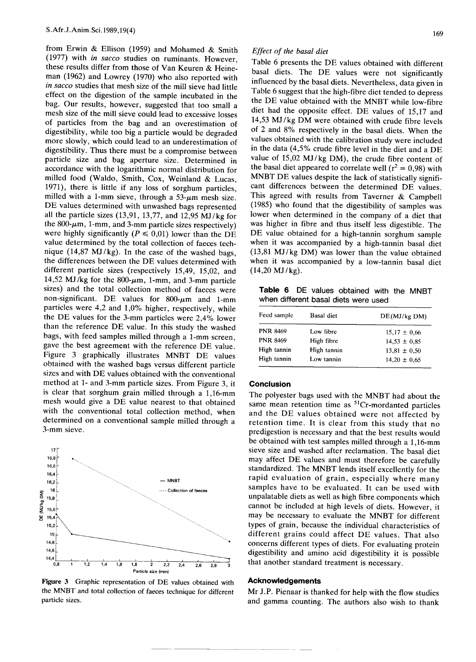from Erwin & Ellison (1959) and Mohamed & Smith (1977) with *in sacco* studies on ruminants. However, these results differ from those of Van Keuren & Heineman (1962) and Lowrey (1970) who also reported with *in sacco* studies that mesh size of the mill sieve had little effect on the digestion of the sample incubated in the bag. Our results, however, suggested that too small a mesh size of the mill sieve could lead to excessive losses of particles from the bag and an overestimation of digestibility, while too big a particle would be degraded more slowly, which could lead to an underestimation of digestibility. Thus there must be a compromise between particle size and bag aperture size. Determined in accordance with the logarithmic normal distribution for milled food (Waldo, Smith, Cox, Weinland & Lucas, 1971), there is little if any loss of sorghum particles, milled with a 1-mm sieve, through a  $53-\mu m$  mesh size. DE values determined with unwashed bags represented all the particle sizes (13,91, 13,77, and 12,95 MJ /kg for the  $800-\mu m$ , 1-mm, and 3-mm particle sizes respectively) were highly significantly  $(P \le 0.01)$  lower than the DE value determined by the total collection of faeces technique  $(14,87 \text{ MJ/kg})$ . In the case of the washed bags, the differences between the DE values determined with different particle sizes (respectively 15,49, 15,02, and 14,52 MJ/kg for the  $800$ - $\mu$ m, 1-mm, and 3-mm particle sizes) and the total collection method of faeces were non-significant. DE values for 800- $\mu$ m and 1-mm particles were 4,2 and 1,0% higher, respectively, while the DE values for the 3-mm particles were 2,4% lower than the reference DE value. In this study the washed bags, with feed samples milled through a 1-mm screen, gave the best agreement with the reference DE value. Figure 3 graphically illustrates MNBT DE values obtained with the washed bags versus different particle sizes and with DE values obtained with the conventional method at 1- and 3-mm particle sizes. From Figure 3, it is clear that sorghum grain milled through a 1,16-mm mesh would give a DE value nearest to that obtained with the conventional total collection method, when determined on a conventional sample milled through a 3-mm sieve.



Figure 3 Graphic representation of DE values obtained with the MNBT and total collection of faeces technique for different particle sizes.

#### *Effect of the basal diet*

Table 6 presents the DE values obtained with different basal diets. The DE values were not significantly influenced by the basal diets. Nevertheless, data given in Table 6 suggest that the high-fibre diet tended to depress the DE value obtained with the MNBT while low-fibre diet had the opposite effect. DE values of 15,17 and 14,53 MJ /kg DM were obtained with crude fibre levels of 2 and 8% respectively in the basal diets. When the values obtained with the calibration study were included in the data (4,5% crude fibre level in the diet and a DE value of  $15,02$  MJ/kg DM), the crude fibre content of the basal diet appeared to correlate well ( $r^2 = 0.98$ ) with MNBT DE values despite the lack of statistically significant differences between the determined DE values. This agreed with results from Taverner & Campbell (1985) who found that the digestibility of samples was lower when determined in the company of a diet that was higher in fibre and thus itself less digestible. The DE value obtained for a high-tannin sorghum sample when it was accompanied by a high-tannin basal diet  $(13,81 \text{ MJ/kg DM})$  was lower than the value obtained when it was accompanied by a low-tannin basal diet  $(14,20 \text{ MJ/kg})$ .

**Table 6** DE values obtained with the MNBT when different basal diets were used

| Feed sample     | Basal diet  | DE(MJ/kg DM)     |
|-----------------|-------------|------------------|
| <b>PNR 8469</b> | Low fibre   | $15,17 \pm 0.66$ |
| <b>PNR 8469</b> | High fibre  | $14,53 \pm 0.85$ |
| High tannin     | High tannin | $13,81 \pm 0.50$ |
| High tannin     | Low tannin  | $14.20 \pm 0.65$ |
|                 |             |                  |

#### **Conclusion**

The polyester bags used with the MNBT had about the same mean retention time as <sup>51</sup>Cr-mordanted particles and the DE values obtained were not affected by retention time. It is clear from this study that no predigestion is necessary and that the best results would be obtained with test samples milled through a 1,16-mm sieve size and washed after reclamation. The basal diet may affect DE values and must therefore be carefully standardized. The MNBT lends itself excellently for the rapid evaluation of grain, especially where many samples have to be evaluated. It can be used with unpalatable diets as well as high fibre components which cannot be included at high levels of diets. However, it may be necessary to evaluate the MNBT for different types of grain, because the individual characteristics of different grains could affect DE values. That also concerns different types of diets. For evaluating protein digestibility and amino acid digestibility it is possible that another standard treatment is necessary.

#### **Acknowledgements**

Mr J.P. Pienaar is thanked for help with the flow studies and gamma counting. The authors also wish to thank